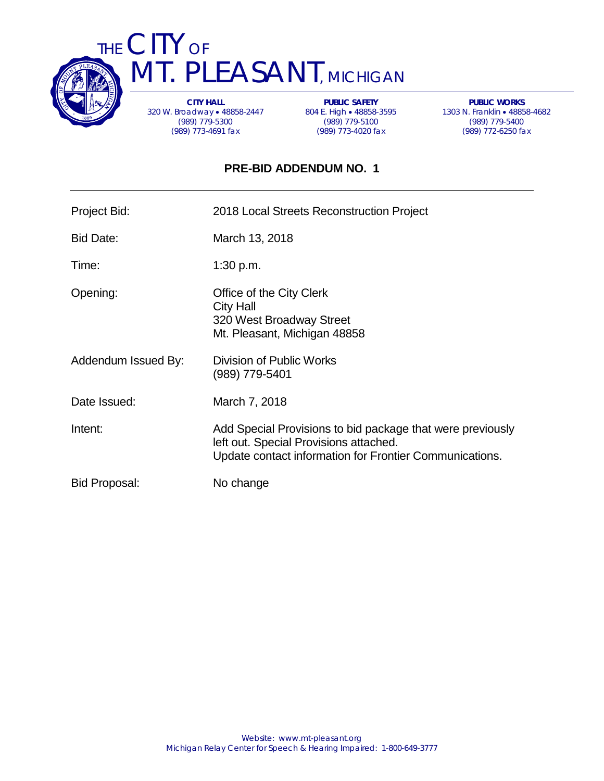

THE CITY OF T. PLEASANT, MICHIGAN

> **CITY HALL** 320 W. Broadway • 48858-2447 (989) 779-5300 (989) 773-4691 fax

**PUBLIC SAFETY** 804 E. High • 48858-3595 (989) 779-5100 (989) 773-4020 fax

**PUBLIC WORKS** 1303 N. Franklin • 48858-4682 (989) 779-5400 (989) 772-6250 fax

# **PRE-BID ADDENDUM NO. 1**

| Project Bid:        | 2018 Local Streets Reconstruction Project                                                                                                                       |
|---------------------|-----------------------------------------------------------------------------------------------------------------------------------------------------------------|
| <b>Bid Date:</b>    | March 13, 2018                                                                                                                                                  |
| Time:               | 1:30 p.m.                                                                                                                                                       |
| Opening:            | Office of the City Clerk<br><b>City Hall</b><br>320 West Broadway Street<br>Mt. Pleasant, Michigan 48858                                                        |
| Addendum Issued By: | Division of Public Works<br>(989) 779-5401                                                                                                                      |
| Date Issued:        | March 7, 2018                                                                                                                                                   |
| Intent:             | Add Special Provisions to bid package that were previously<br>left out. Special Provisions attached.<br>Update contact information for Frontier Communications. |
| Bid Proposal:       | No change                                                                                                                                                       |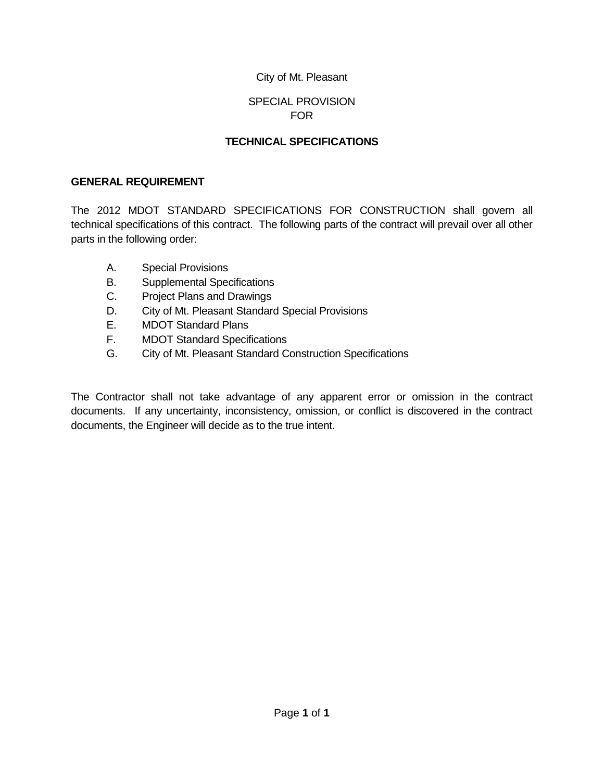## SPECIAL PROVISION FOR

## **TECHNICAL SPECIFICATIONS**

## **GENERAL REQUIREMENT**

The 2012 MDOT STANDARD SPECIFICATIONS FOR CONSTRUCTION shall govern all technical specifications of this contract. The following parts of the contract will prevail over all other parts in the following order:

- A. Special Provisions
- B. Supplemental Specifications
- C. Project Plans and Drawings
- D. City of Mt. Pleasant Standard Special Provisions
- E. MDOT Standard Plans
- F. MDOT Standard Specifications
- G. City of Mt. Pleasant Standard Construction Specifications

The Contractor shall not take advantage of any apparent error or omission in the contract documents. If any uncertainty, inconsistency, omission, or conflict is discovered in the contract documents, the Engineer will decide as to the true intent.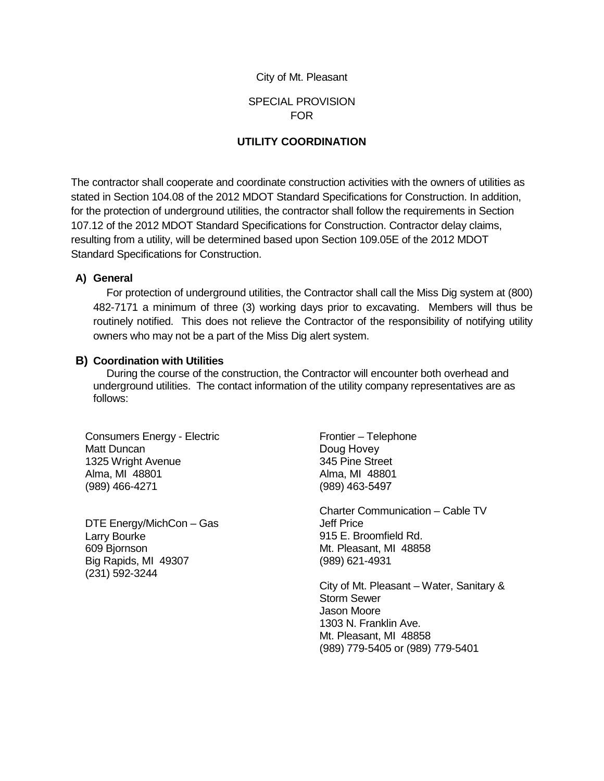#### SPECIAL PROVISION FOR

#### **UTILITY COORDINATION**

The contractor shall cooperate and coordinate construction activities with the owners of utilities as stated in Section 104.08 of the 2012 MDOT Standard Specifications for Construction. In addition, for the protection of underground utilities, the contractor shall follow the requirements in Section 107.12 of the 2012 MDOT Standard Specifications for Construction. Contractor delay claims, resulting from a utility, will be determined based upon Section 109.05E of the 2012 MDOT Standard Specifications for Construction.

#### **A) General**

For protection of underground utilities, the Contractor shall call the Miss Dig system at (800) 482-7171 a minimum of three (3) working days prior to excavating. Members will thus be routinely notified. This does not relieve the Contractor of the responsibility of notifying utility owners who may not be a part of the Miss Dig alert system.

#### **B) Coordination with Utilities**

During the course of the construction, the Contractor will encounter both overhead and underground utilities. The contact information of the utility company representatives are as follows:

Consumers Energy - Electric Matt Duncan 1325 Wright Avenue Alma, MI 48801 (989) 466-4271

DTE Energy/MichCon – Gas Larry Bourke 609 Bjornson Big Rapids, MI 49307 (231) 592-3244

Frontier – Telephone Doug Hovey 345 Pine Street Alma, MI 48801 (989) 463-5497

Charter Communication – Cable TV Jeff Price 915 E. Broomfield Rd. Mt. Pleasant, MI 48858 (989) 621-4931

City of Mt. Pleasant – Water, Sanitary & Storm Sewer Jason Moore 1303 N. Franklin Ave. Mt. Pleasant, MI 48858 (989) 779-5405 or (989) 779-5401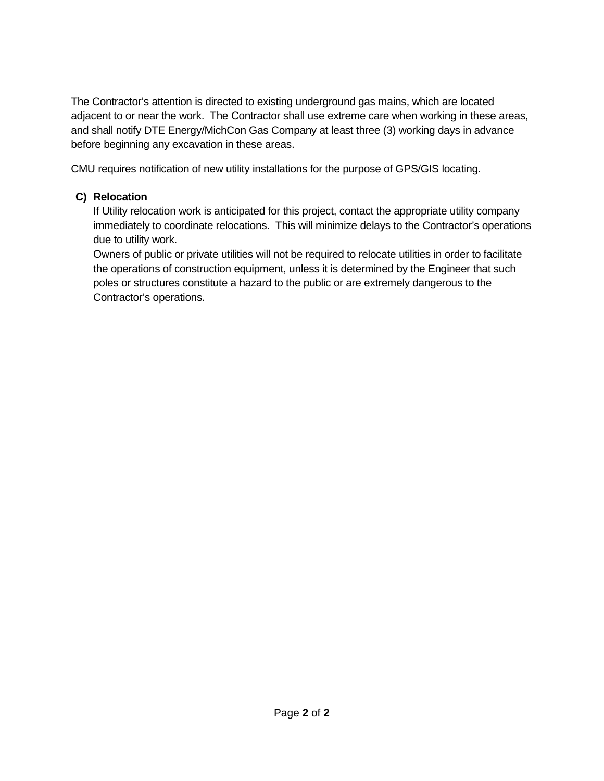The Contractor's attention is directed to existing underground gas mains, which are located adjacent to or near the work. The Contractor shall use extreme care when working in these areas, and shall notify DTE Energy/MichCon Gas Company at least three (3) working days in advance before beginning any excavation in these areas.

CMU requires notification of new utility installations for the purpose of GPS/GIS locating.

# **C) Relocation**

If Utility relocation work is anticipated for this project, contact the appropriate utility company immediately to coordinate relocations. This will minimize delays to the Contractor's operations due to utility work.

Owners of public or private utilities will not be required to relocate utilities in order to facilitate the operations of construction equipment, unless it is determined by the Engineer that such poles or structures constitute a hazard to the public or are extremely dangerous to the Contractor's operations.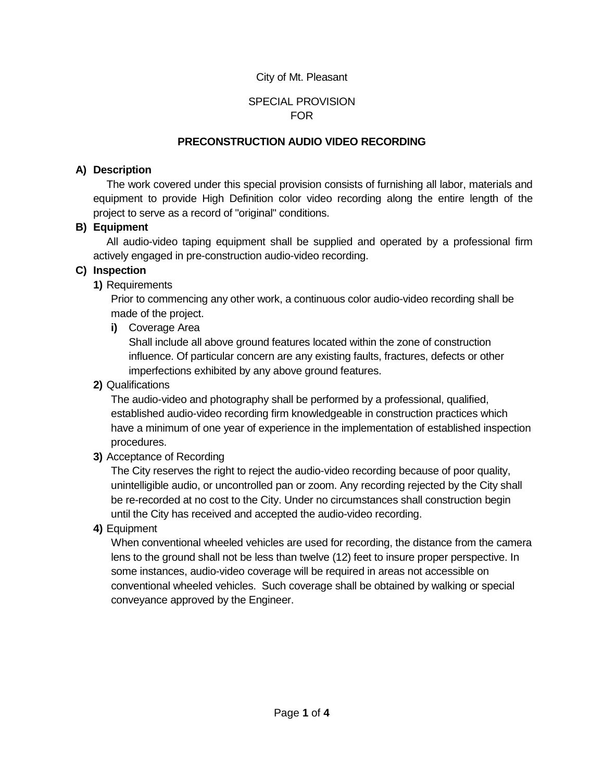## SPECIAL PROVISION FOR

#### **PRECONSTRUCTION AUDIO VIDEO RECORDING**

#### **A) Description**

The work covered under this special provision consists of furnishing all labor, materials and equipment to provide High Definition color video recording along the entire length of the project to serve as a record of "original" conditions.

#### **B) Equipment**

All audio-video taping equipment shall be supplied and operated by a professional firm actively engaged in pre-construction audio-video recording.

#### **C) Inspection**

**1)** Requirements

Prior to commencing any other work, a continuous color audio-video recording shall be made of the project.

**i)** Coverage Area

Shall include all above ground features located within the zone of construction influence. Of particular concern are any existing faults, fractures, defects or other imperfections exhibited by any above ground features.

**2)** Qualifications

The audio-video and photography shall be performed by a professional, qualified, established audio-video recording firm knowledgeable in construction practices which have a minimum of one year of experience in the implementation of established inspection procedures.

**3)** Acceptance of Recording

The City reserves the right to reject the audio-video recording because of poor quality, unintelligible audio, or uncontrolled pan or zoom. Any recording rejected by the City shall be re-recorded at no cost to the City. Under no circumstances shall construction begin until the City has received and accepted the audio-video recording.

**4)** Equipment

When conventional wheeled vehicles are used for recording, the distance from the camera lens to the ground shall not be less than twelve (12) feet to insure proper perspective. In some instances, audio-video coverage will be required in areas not accessible on conventional wheeled vehicles. Such coverage shall be obtained by walking or special conveyance approved by the Engineer.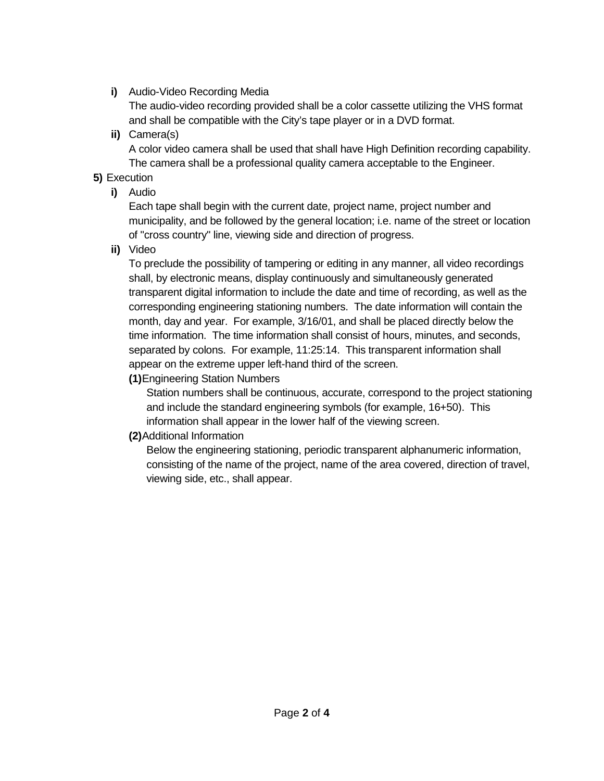**i)** Audio-Video Recording Media

The audio-video recording provided shall be a color cassette utilizing the VHS format and shall be compatible with the City's tape player or in a DVD format.

**ii)** Camera(s)

A color video camera shall be used that shall have High Definition recording capability. The camera shall be a professional quality camera acceptable to the Engineer.

# **5)** Execution

**i)** Audio

Each tape shall begin with the current date, project name, project number and municipality, and be followed by the general location; i.e. name of the street or location of "cross country" line, viewing side and direction of progress.

**ii)** Video

To preclude the possibility of tampering or editing in any manner, all video recordings shall, by electronic means, display continuously and simultaneously generated transparent digital information to include the date and time of recording, as well as the corresponding engineering stationing numbers. The date information will contain the month, day and year. For example, 3/16/01, and shall be placed directly below the time information. The time information shall consist of hours, minutes, and seconds, separated by colons. For example, 11:25:14. This transparent information shall appear on the extreme upper left-hand third of the screen.

**(1)**Engineering Station Numbers

Station numbers shall be continuous, accurate, correspond to the project stationing and include the standard engineering symbols (for example, 16+50). This information shall appear in the lower half of the viewing screen.

**(2)**Additional Information

Below the engineering stationing, periodic transparent alphanumeric information, consisting of the name of the project, name of the area covered, direction of travel, viewing side, etc., shall appear.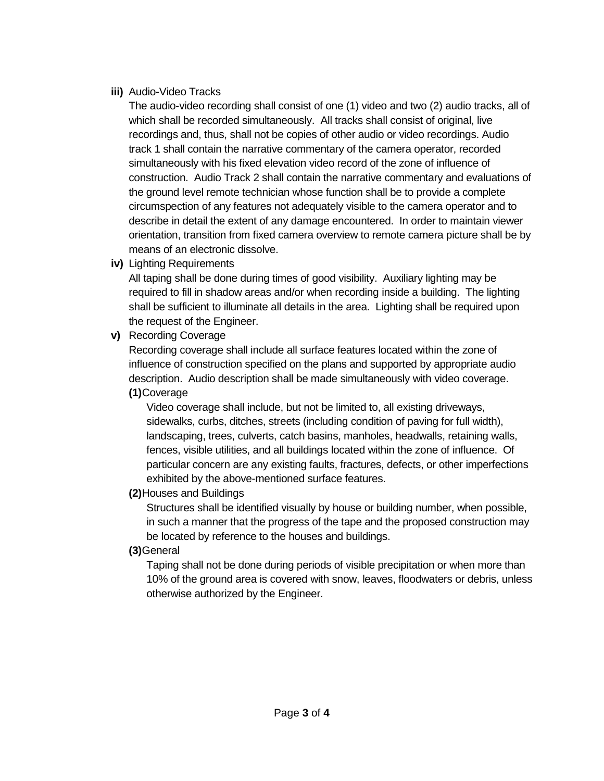## **iii)** Audio-Video Tracks

The audio-video recording shall consist of one (1) video and two (2) audio tracks, all of which shall be recorded simultaneously. All tracks shall consist of original, live recordings and, thus, shall not be copies of other audio or video recordings. Audio track 1 shall contain the narrative commentary of the camera operator, recorded simultaneously with his fixed elevation video record of the zone of influence of construction. Audio Track 2 shall contain the narrative commentary and evaluations of the ground level remote technician whose function shall be to provide a complete circumspection of any features not adequately visible to the camera operator and to describe in detail the extent of any damage encountered. In order to maintain viewer orientation, transition from fixed camera overview to remote camera picture shall be by means of an electronic dissolve.

**iv)** Lighting Requirements

All taping shall be done during times of good visibility. Auxiliary lighting may be required to fill in shadow areas and/or when recording inside a building. The lighting shall be sufficient to illuminate all details in the area. Lighting shall be required upon the request of the Engineer.

**v)** Recording Coverage

Recording coverage shall include all surface features located within the zone of influence of construction specified on the plans and supported by appropriate audio description. Audio description shall be made simultaneously with video coverage. **(1)**Coverage

Video coverage shall include, but not be limited to, all existing driveways, sidewalks, curbs, ditches, streets (including condition of paving for full width), landscaping, trees, culverts, catch basins, manholes, headwalls, retaining walls, fences, visible utilities, and all buildings located within the zone of influence. Of particular concern are any existing faults, fractures, defects, or other imperfections exhibited by the above-mentioned surface features.

# **(2)**Houses and Buildings

Structures shall be identified visually by house or building number, when possible, in such a manner that the progress of the tape and the proposed construction may be located by reference to the houses and buildings.

**(3)**General

Taping shall not be done during periods of visible precipitation or when more than 10% of the ground area is covered with snow, leaves, floodwaters or debris, unless otherwise authorized by the Engineer.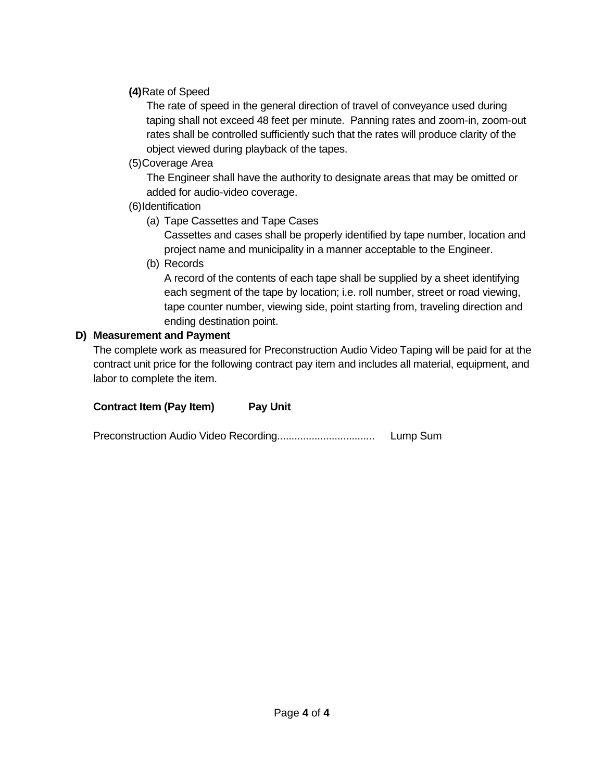## **(4)**Rate of Speed

The rate of speed in the general direction of travel of conveyance used during taping shall not exceed 48 feet per minute. Panning rates and zoom-in, zoom-out rates shall be controlled sufficiently such that the rates will produce clarity of the object viewed during playback of the tapes.

(5)Coverage Area

The Engineer shall have the authority to designate areas that may be omitted or added for audio-video coverage.

## (6)Identification

(a) Tape Cassettes and Tape Cases

Cassettes and cases shall be properly identified by tape number, location and project name and municipality in a manner acceptable to the Engineer.

(b) Records

A record of the contents of each tape shall be supplied by a sheet identifying each segment of the tape by location; i.e. roll number, street or road viewing, tape counter number, viewing side, point starting from, traveling direction and ending destination point.

## **D) Measurement and Payment**

The complete work as measured for Preconstruction Audio Video Taping will be paid for at the contract unit price for the following contract pay item and includes all material, equipment, and labor to complete the item.

| <b>Contract Item (Pay Item)</b> | <b>Pay Unit</b> |          |
|---------------------------------|-----------------|----------|
|                                 |                 | Lump Sum |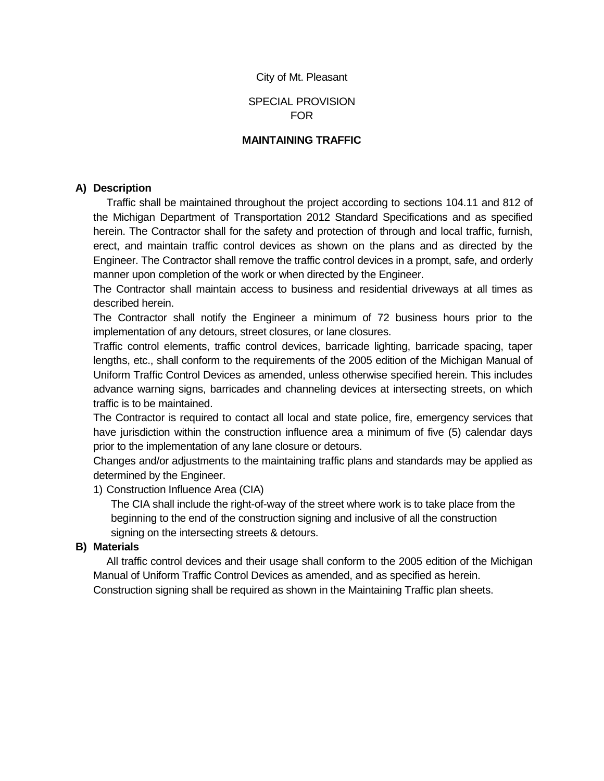#### SPECIAL PROVISION FOR

#### **MAINTAINING TRAFFIC**

#### **A) Description**

Traffic shall be maintained throughout the project according to sections 104.11 and 812 of the Michigan Department of Transportation 2012 Standard Specifications and as specified herein. The Contractor shall for the safety and protection of through and local traffic, furnish, erect, and maintain traffic control devices as shown on the plans and as directed by the Engineer. The Contractor shall remove the traffic control devices in a prompt, safe, and orderly manner upon completion of the work or when directed by the Engineer.

The Contractor shall maintain access to business and residential driveways at all times as described herein.

The Contractor shall notify the Engineer a minimum of 72 business hours prior to the implementation of any detours, street closures, or lane closures.

Traffic control elements, traffic control devices, barricade lighting, barricade spacing, taper lengths, etc., shall conform to the requirements of the 2005 edition of the Michigan Manual of Uniform Traffic Control Devices as amended, unless otherwise specified herein. This includes advance warning signs, barricades and channeling devices at intersecting streets, on which traffic is to be maintained.

The Contractor is required to contact all local and state police, fire, emergency services that have jurisdiction within the construction influence area a minimum of five (5) calendar days prior to the implementation of any lane closure or detours.

Changes and/or adjustments to the maintaining traffic plans and standards may be applied as determined by the Engineer.

#### 1) Construction Influence Area (CIA)

The CIA shall include the right-of-way of the street where work is to take place from the beginning to the end of the construction signing and inclusive of all the construction signing on the intersecting streets & detours.

#### **B) Materials**

All traffic control devices and their usage shall conform to the 2005 edition of the Michigan Manual of Uniform Traffic Control Devices as amended, and as specified as herein. Construction signing shall be required as shown in the Maintaining Traffic plan sheets.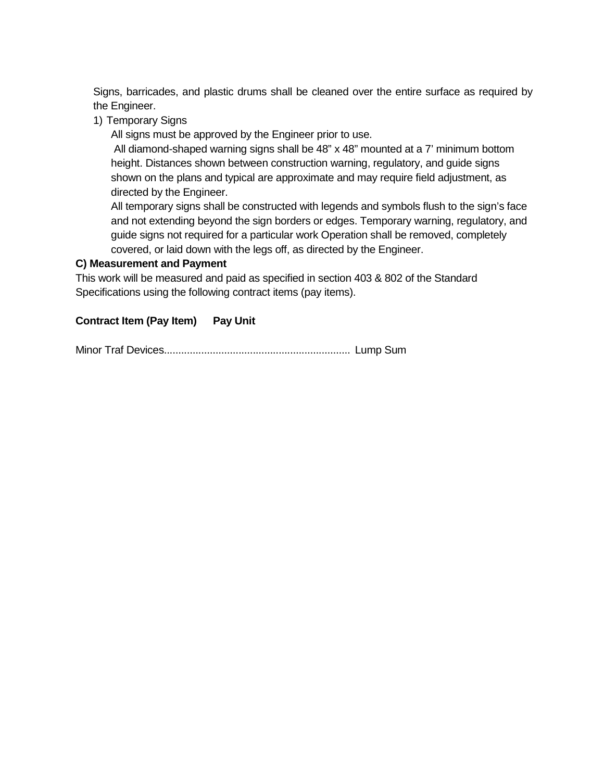Signs, barricades, and plastic drums shall be cleaned over the entire surface as required by the Engineer.

1) Temporary Signs

All signs must be approved by the Engineer prior to use.

All diamond-shaped warning signs shall be 48" x 48" mounted at a 7' minimum bottom height. Distances shown between construction warning, regulatory, and guide signs shown on the plans and typical are approximate and may require field adjustment, as directed by the Engineer.

All temporary signs shall be constructed with legends and symbols flush to the sign's face and not extending beyond the sign borders or edges. Temporary warning, regulatory, and guide signs not required for a particular work Operation shall be removed, completely covered, or laid down with the legs off, as directed by the Engineer.

## **C) Measurement and Payment**

This work will be measured and paid as specified in section 403 & 802 of the Standard Specifications using the following contract items (pay items).

## **Contract Item (Pay Item) Pay Unit**

Minor Traf Devices................................................................. Lump Sum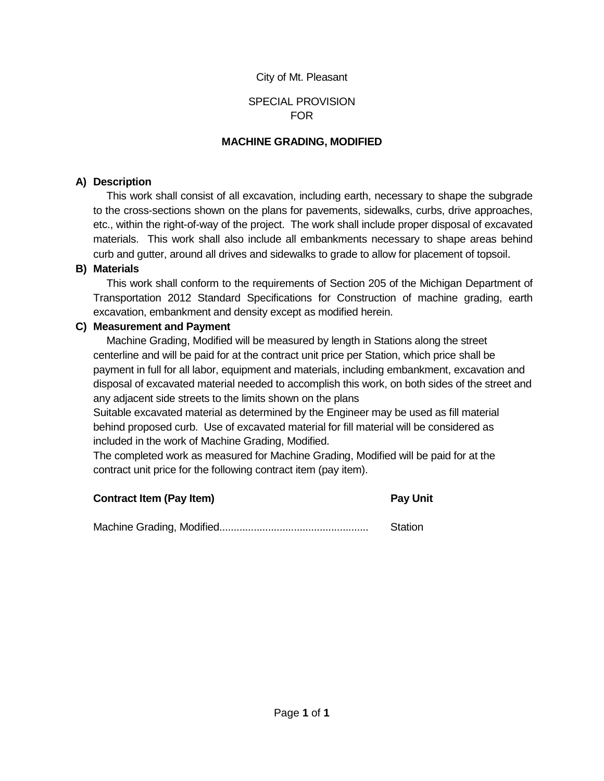## SPECIAL PROVISION FOR

#### **MACHINE GRADING, MODIFIED**

#### **A) Description**

This work shall consist of all excavation, including earth, necessary to shape the subgrade to the cross-sections shown on the plans for pavements, sidewalks, curbs, drive approaches, etc., within the right-of-way of the project. The work shall include proper disposal of excavated materials. This work shall also include all embankments necessary to shape areas behind curb and gutter, around all drives and sidewalks to grade to allow for placement of topsoil.

#### **B) Materials**

This work shall conform to the requirements of Section 205 of the Michigan Department of Transportation 2012 Standard Specifications for Construction of machine grading, earth excavation, embankment and density except as modified herein.

#### **C) Measurement and Payment**

Machine Grading, Modified will be measured by length in Stations along the street centerline and will be paid for at the contract unit price per Station, which price shall be payment in full for all labor, equipment and materials, including embankment, excavation and disposal of excavated material needed to accomplish this work, on both sides of the street and any adjacent side streets to the limits shown on the plans

Suitable excavated material as determined by the Engineer may be used as fill material behind proposed curb. Use of excavated material for fill material will be considered as included in the work of Machine Grading, Modified.

The completed work as measured for Machine Grading, Modified will be paid for at the contract unit price for the following contract item (pay item).

| <b>Contract Item (Pay Item)</b> | <b>Pay Unit</b> |
|---------------------------------|-----------------|
|                                 | Station         |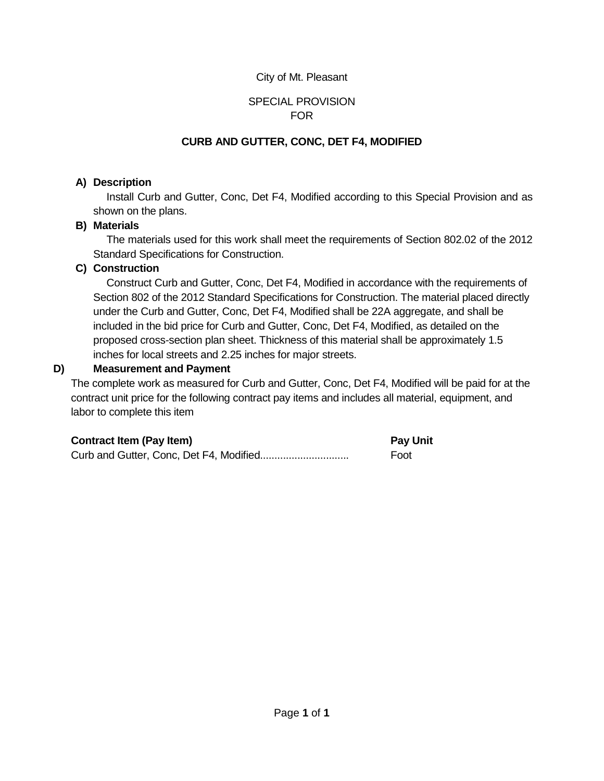## SPECIAL PROVISION FOR

# **CURB AND GUTTER, CONC, DET F4, MODIFIED**

## **A) Description**

Install Curb and Gutter, Conc, Det F4, Modified according to this Special Provision and as shown on the plans.

## **B) Materials**

The materials used for this work shall meet the requirements of Section 802.02 of the 2012 Standard Specifications for Construction.

## **C) Construction**

Construct Curb and Gutter, Conc, Det F4, Modified in accordance with the requirements of Section 802 of the 2012 Standard Specifications for Construction. The material placed directly under the Curb and Gutter, Conc, Det F4, Modified shall be 22A aggregate, and shall be included in the bid price for Curb and Gutter, Conc, Det F4, Modified, as detailed on the proposed cross-section plan sheet. Thickness of this material shall be approximately 1.5 inches for local streets and 2.25 inches for major streets.

## **D) Measurement and Payment**

The complete work as measured for Curb and Gutter, Conc, Det F4, Modified will be paid for at the contract unit price for the following contract pay items and includes all material, equipment, and labor to complete this item

| <b>Contract Item (Pay Item)</b> | <b>Pay Unit</b> |
|---------------------------------|-----------------|
|                                 | Foot            |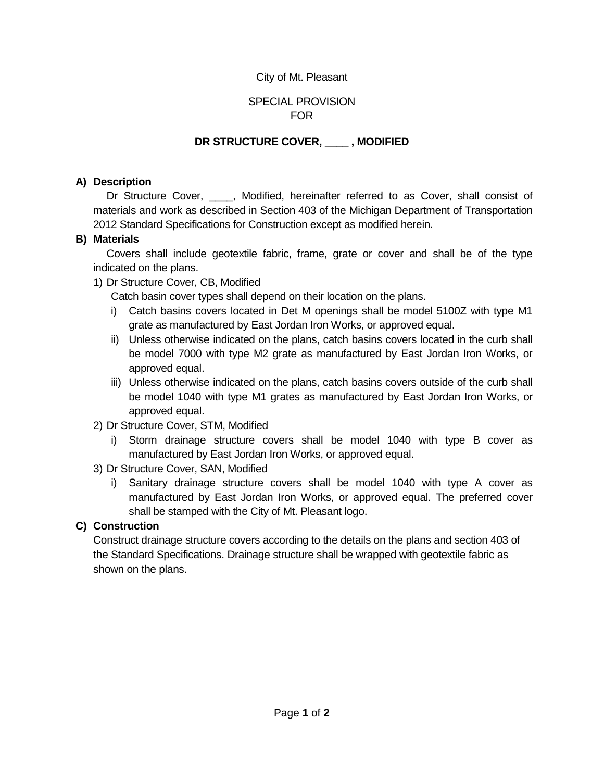## SPECIAL PROVISION FOR

# **DR STRUCTURE COVER, \_\_\_\_ , MODIFIED**

## **A) Description**

Dr Structure Cover, . . Modified, hereinafter referred to as Cover, shall consist of materials and work as described in Section 403 of the Michigan Department of Transportation 2012 Standard Specifications for Construction except as modified herein.

## **B) Materials**

Covers shall include geotextile fabric, frame, grate or cover and shall be of the type indicated on the plans.

1) Dr Structure Cover, CB, Modified

Catch basin cover types shall depend on their location on the plans.

- i) Catch basins covers located in Det M openings shall be model 5100Z with type M1 grate as manufactured by East Jordan Iron Works, or approved equal.
- ii) Unless otherwise indicated on the plans, catch basins covers located in the curb shall be model 7000 with type M2 grate as manufactured by East Jordan Iron Works, or approved equal.
- iii) Unless otherwise indicated on the plans, catch basins covers outside of the curb shall be model 1040 with type M1 grates as manufactured by East Jordan Iron Works, or approved equal.
- 2) Dr Structure Cover, STM, Modified
	- i) Storm drainage structure covers shall be model 1040 with type B cover as manufactured by East Jordan Iron Works, or approved equal.
- 3) Dr Structure Cover, SAN, Modified
	- i) Sanitary drainage structure covers shall be model 1040 with type A cover as manufactured by East Jordan Iron Works, or approved equal. The preferred cover shall be stamped with the City of Mt. Pleasant logo.

# **C) Construction**

Construct drainage structure covers according to the details on the plans and section 403 of the Standard Specifications. Drainage structure shall be wrapped with geotextile fabric as shown on the plans.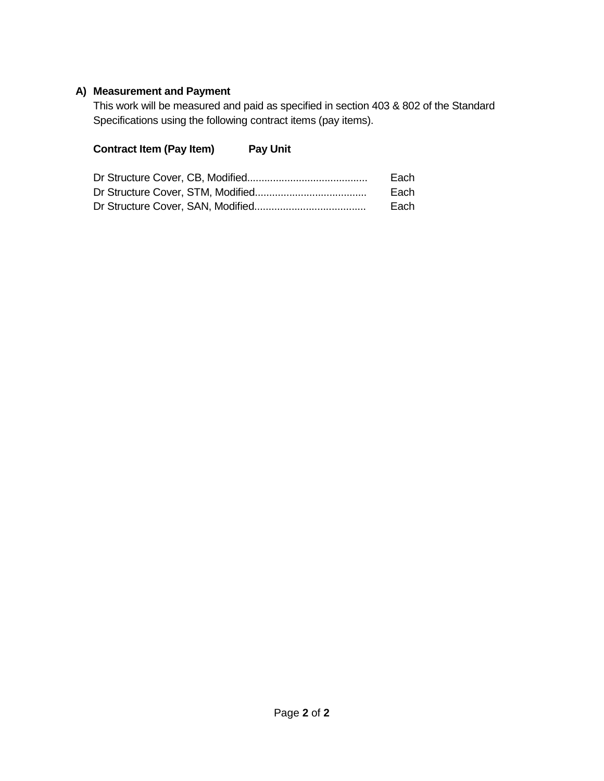## **A) Measurement and Payment**

This work will be measured and paid as specified in section 403 & 802 of the Standard Specifications using the following contract items (pay items).

# **Contract Item (Pay Item) Pay Unit**

| Each |
|------|
| Each |
| Each |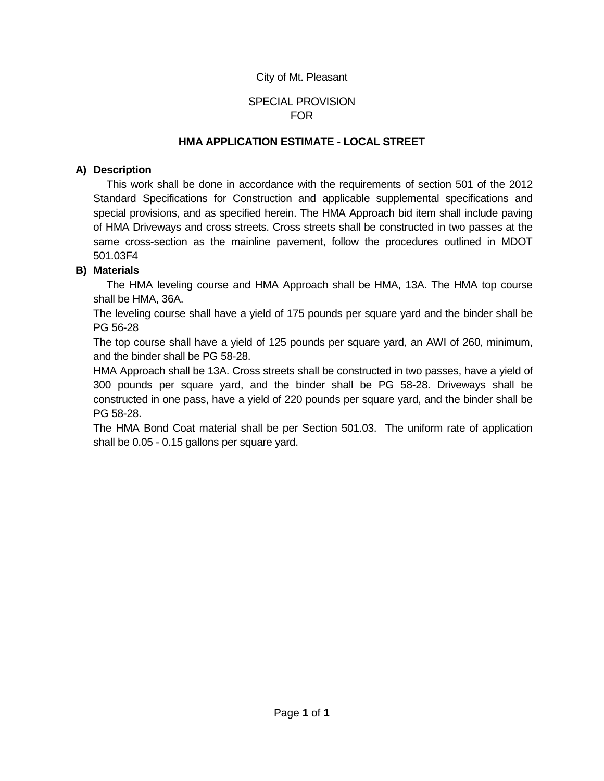### SPECIAL PROVISION FOR

#### **HMA APPLICATION ESTIMATE - LOCAL STREET**

#### **A) Description**

This work shall be done in accordance with the requirements of section 501 of the 2012 Standard Specifications for Construction and applicable supplemental specifications and special provisions, and as specified herein. The HMA Approach bid item shall include paving of HMA Driveways and cross streets. Cross streets shall be constructed in two passes at the same cross-section as the mainline pavement, follow the procedures outlined in MDOT 501.03F4

#### **B) Materials**

The HMA leveling course and HMA Approach shall be HMA, 13A. The HMA top course shall be HMA, 36A.

The leveling course shall have a yield of 175 pounds per square yard and the binder shall be PG 56-28

The top course shall have a yield of 125 pounds per square yard, an AWI of 260, minimum, and the binder shall be PG 58-28.

HMA Approach shall be 13A. Cross streets shall be constructed in two passes, have a yield of 300 pounds per square yard, and the binder shall be PG 58-28. Driveways shall be constructed in one pass, have a yield of 220 pounds per square yard, and the binder shall be PG 58-28.

The HMA Bond Coat material shall be per Section 501.03. The uniform rate of application shall be 0.05 - 0.15 gallons per square yard.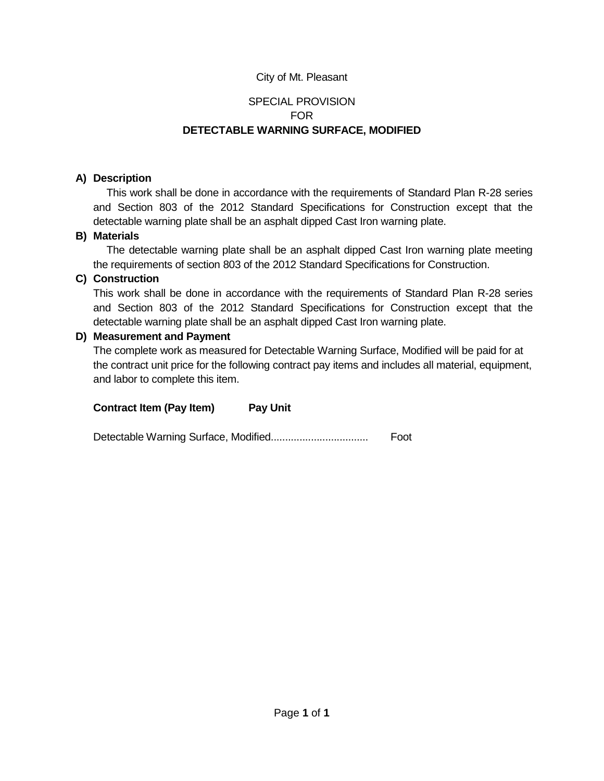# SPECIAL PROVISION FOR **DETECTABLE WARNING SURFACE, MODIFIED**

## **A) Description**

This work shall be done in accordance with the requirements of Standard Plan R-28 series and Section 803 of the 2012 Standard Specifications for Construction except that the detectable warning plate shall be an asphalt dipped Cast Iron warning plate.

#### **B) Materials**

The detectable warning plate shall be an asphalt dipped Cast Iron warning plate meeting the requirements of section 803 of the 2012 Standard Specifications for Construction.

## **C) Construction**

This work shall be done in accordance with the requirements of Standard Plan R-28 series and Section 803 of the 2012 Standard Specifications for Construction except that the detectable warning plate shall be an asphalt dipped Cast Iron warning plate.

## **D) Measurement and Payment**

The complete work as measured for Detectable Warning Surface, Modified will be paid for at the contract unit price for the following contract pay items and includes all material, equipment, and labor to complete this item.

**Contract Item (Pay Item) Pay Unit**

Detectable Warning Surface, Modified.................................. Foot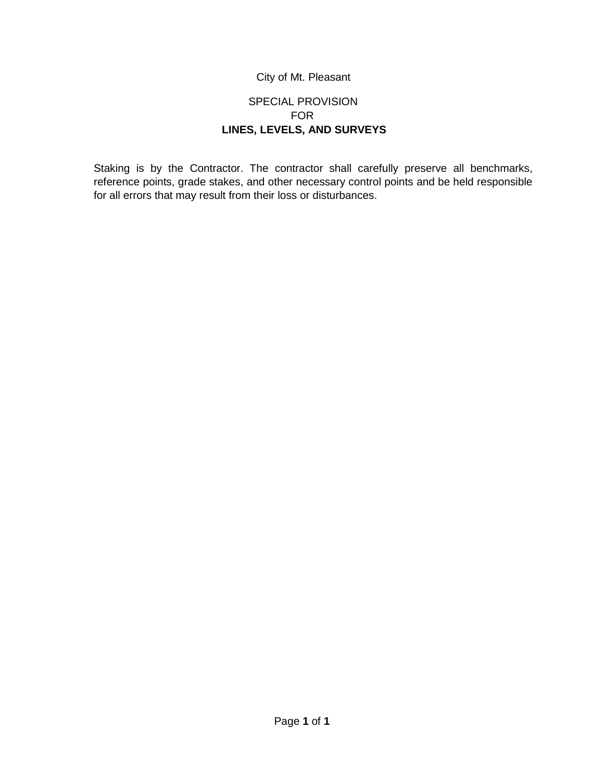## SPECIAL PROVISION FOR **LINES, LEVELS, AND SURVEYS**

Staking is by the Contractor. The contractor shall carefully preserve all benchmarks, reference points, grade stakes, and other necessary control points and be held responsible for all errors that may result from their loss or disturbances.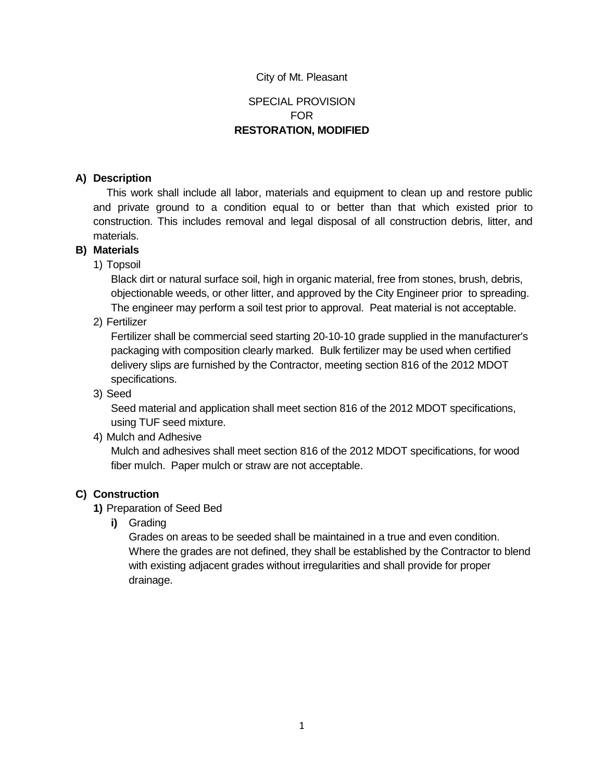# SPECIAL PROVISION FOR **RESTORATION, MODIFIED**

#### **A) Description**

This work shall include all labor, materials and equipment to clean up and restore public and private ground to a condition equal to or better than that which existed prior to construction. This includes removal and legal disposal of all construction debris, litter, and materials.

#### **B) Materials**

1) Topsoil

Black dirt or natural surface soil, high in organic material, free from stones, brush, debris, objectionable weeds, or other litter, and approved by the City Engineer prior to spreading. The engineer may perform a soil test prior to approval. Peat material is not acceptable.

2) Fertilizer

Fertilizer shall be commercial seed starting 20-10-10 grade supplied in the manufacturer's packaging with composition clearly marked. Bulk fertilizer may be used when certified delivery slips are furnished by the Contractor, meeting section 816 of the 2012 MDOT specifications.

3) Seed

Seed material and application shall meet section 816 of the 2012 MDOT specifications, using TUF seed mixture.

4) Mulch and Adhesive

Mulch and adhesives shall meet section 816 of the 2012 MDOT specifications, for wood fiber mulch. Paper mulch or straw are not acceptable.

#### **C) Construction**

- **1)** Preparation of Seed Bed
	- **i)** Grading

Grades on areas to be seeded shall be maintained in a true and even condition. Where the grades are not defined, they shall be established by the Contractor to blend with existing adjacent grades without irregularities and shall provide for proper drainage.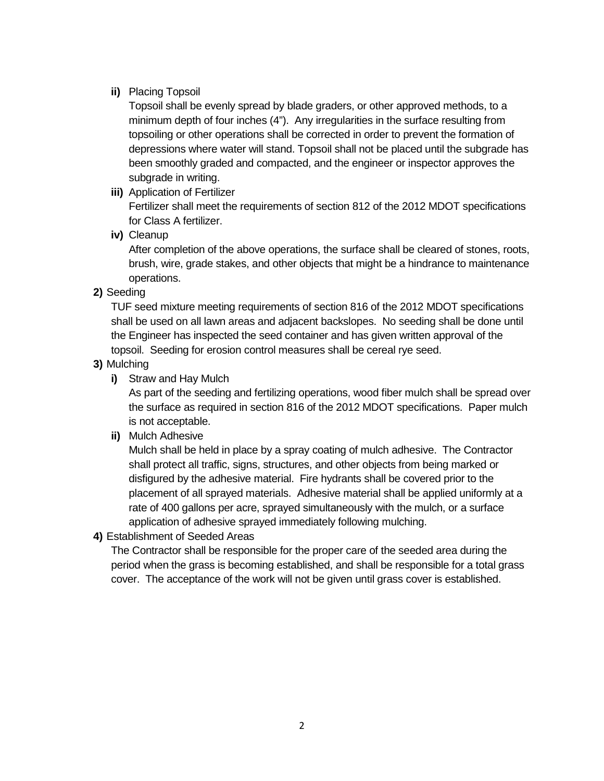#### **ii)** Placing Topsoil

Topsoil shall be evenly spread by blade graders, or other approved methods, to a minimum depth of four inches (4"). Any irregularities in the surface resulting from topsoiling or other operations shall be corrected in order to prevent the formation of depressions where water will stand. Topsoil shall not be placed until the subgrade has been smoothly graded and compacted, and the engineer or inspector approves the subgrade in writing.

**iii)** Application of Fertilizer

Fertilizer shall meet the requirements of section 812 of the 2012 MDOT specifications for Class A fertilizer.

**iv)** Cleanup

After completion of the above operations, the surface shall be cleared of stones, roots, brush, wire, grade stakes, and other objects that might be a hindrance to maintenance operations.

## **2)** Seeding

TUF seed mixture meeting requirements of section 816 of the 2012 MDOT specifications shall be used on all lawn areas and adjacent backslopes. No seeding shall be done until the Engineer has inspected the seed container and has given written approval of the topsoil. Seeding for erosion control measures shall be cereal rye seed.

#### **3)** Mulching

**i)** Straw and Hay Mulch

As part of the seeding and fertilizing operations, wood fiber mulch shall be spread over the surface as required in section 816 of the 2012 MDOT specifications. Paper mulch is not acceptable.

**ii)** Mulch Adhesive

Mulch shall be held in place by a spray coating of mulch adhesive. The Contractor shall protect all traffic, signs, structures, and other objects from being marked or disfigured by the adhesive material. Fire hydrants shall be covered prior to the placement of all sprayed materials. Adhesive material shall be applied uniformly at a rate of 400 gallons per acre, sprayed simultaneously with the mulch, or a surface application of adhesive sprayed immediately following mulching.

**4)** Establishment of Seeded Areas

The Contractor shall be responsible for the proper care of the seeded area during the period when the grass is becoming established, and shall be responsible for a total grass cover. The acceptance of the work will not be given until grass cover is established.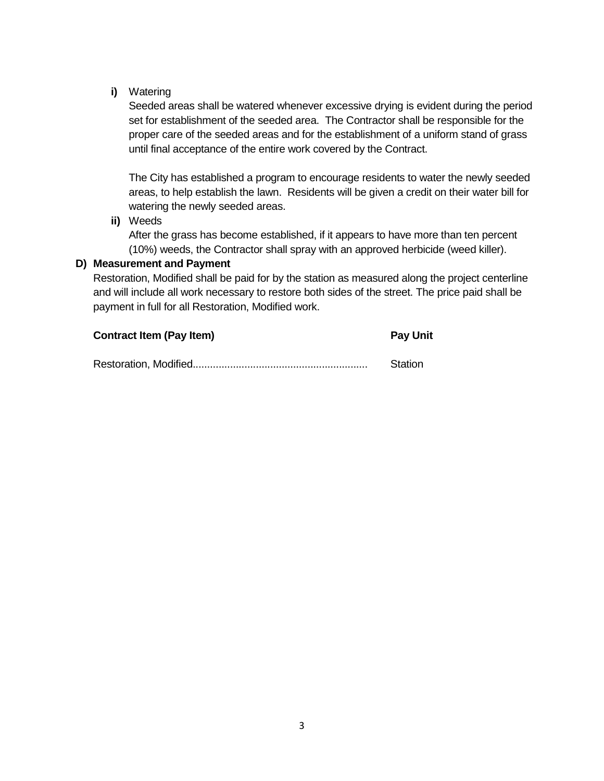**i)** Watering

Seeded areas shall be watered whenever excessive drying is evident during the period set for establishment of the seeded area. The Contractor shall be responsible for the proper care of the seeded areas and for the establishment of a uniform stand of grass until final acceptance of the entire work covered by the Contract.

The City has established a program to encourage residents to water the newly seeded areas, to help establish the lawn. Residents will be given a credit on their water bill for watering the newly seeded areas.

**ii)** Weeds

After the grass has become established, if it appears to have more than ten percent (10%) weeds, the Contractor shall spray with an approved herbicide (weed killer).

#### **D) Measurement and Payment**

Restoration, Modified shall be paid for by the station as measured along the project centerline and will include all work necessary to restore both sides of the street. The price paid shall be payment in full for all Restoration, Modified work.

| <b>Contract Item (Pay Item)</b> | <b>Pay Unit</b> |  |
|---------------------------------|-----------------|--|
|                                 | Station         |  |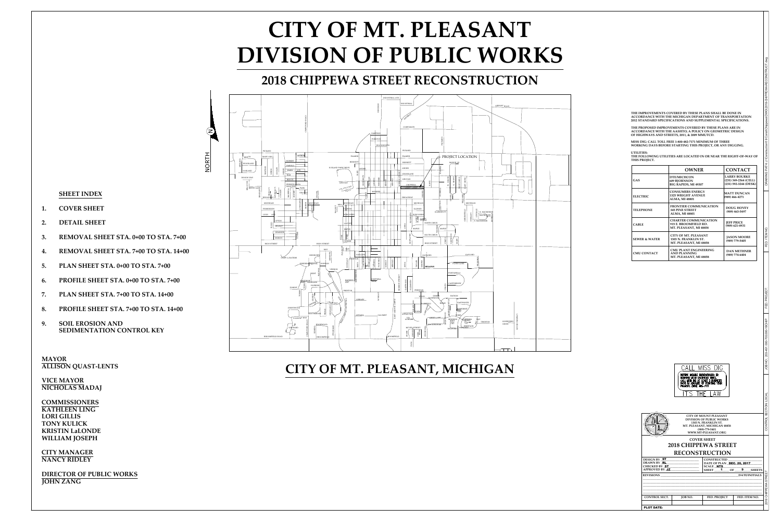N

NORTH

- 
- 
- 
- 
- 
- 
- 
- 
- 

**MAYOR<br>ALLISON QUAST-LENTS<br>VICE MAYOR** 

**VICE MAYOR<br>NICHOLAS MADAJ VICE MAYOR<br>NICHOLAS MADA<br>COMMISSIONERS KICE MAYOR<br>NICHOLAS MAD<br>COMMISSIONER<br>KATHLEEN LING** 

**NICHOLAS MA<br>COMMISSION<br>KATHLEEN LII<br>LORI GILLIS<br>TONY KULICK KATHLEEN LING<br>LORI GILLIS<br>TONY KULICK<br>KRISTIN LaLONDE COMMISSIONERS<br>KATHLEEN LING<br>LORI GILLIS<br>TONY KULICK<br>KRISTIN LaLOND<br>WILLIAM JOSEPH COM GILLIS<br>TONY KULICK<br>KRISTIN LaLONI<br>WILLIAM JOSEP!<br>CITY MANAGER** KRISTIN LaLON<br>WILLIAM JOSEF<br>CITY MANAGEF<br>NANCY RIDLEY

**CITY MANAGER<br>
NANCY RIDLEY<br>
DIRECTOR OF PUBLIC WORKS** 





ASHLAND

DS WAY<br>
HAMEL<br>
HAMEL<br>
HAMEL<br>
HAMEL<br>
HAMEL<br>
HAMEL<br>
HAMEL<br>
HAMEL



| THE FOLLOWING UTILITIES ARE LOCATED IN OR NEAR THE RIGHT-OF-WAY OF |  |
|--------------------------------------------------------------------|--|
| THIS PROJECT.                                                      |  |
|                                                                    |  |

|                          | <b>OWNER</b>                                                                     | <b>CONTACT</b>                                                        |
|--------------------------|----------------------------------------------------------------------------------|-----------------------------------------------------------------------|
| GAS                      | <b>DTE/MICHCON</b><br><b>609 BJORNSON</b><br>BIG RAPIDS, MI 49307                | <b>LARRY BOURKE</b><br>(231) 349-2364 (CELL)<br>(231) 592-3244 (DESK) |
| <b>ELECTRIC</b>          | <b>CONSUMERS ENERGY</b><br><b>1325 WRIGHT AVENUE</b><br><b>ALMA, MI 48801</b>    | <b>MATT DUNCAN</b><br>$(989)$ 466-4271                                |
| <b>TELEPHONE</b>         | <b>FRONTIER COMMUNICATION</b><br><b>345 PINE STREET</b><br><b>ALMA, MI 48801</b> | <b>DOUG HOVEY</b><br>(989) 463-5497                                   |
| <b>CABLE</b>             | <b>CHARTER COMMUNICATION</b><br>915 E. BROOMFIELD RD.<br>MT. PLEASANT, MI 48858  | <b>JEFF PRICE</b><br>$(989)$ 621-4931                                 |
| <b>SEWER &amp; WATER</b> | <b>CITY OF MT. PLEASANT</b><br>1303 N. FRANKLIN ST.<br>MT. PLEASANT, MI 48858    | <b>JASON MOORE</b><br>(989) 779-5405                                  |
| <b>CMU CONTACT</b>       | <b>CMU PLANT ENGINEERING</b><br><b>AND PLANNING</b><br>MT. PLEASANT, MI 48858    | <b>DAN METHNER</b><br>(989) 774-6404                                  |

**JOHN ZANG**